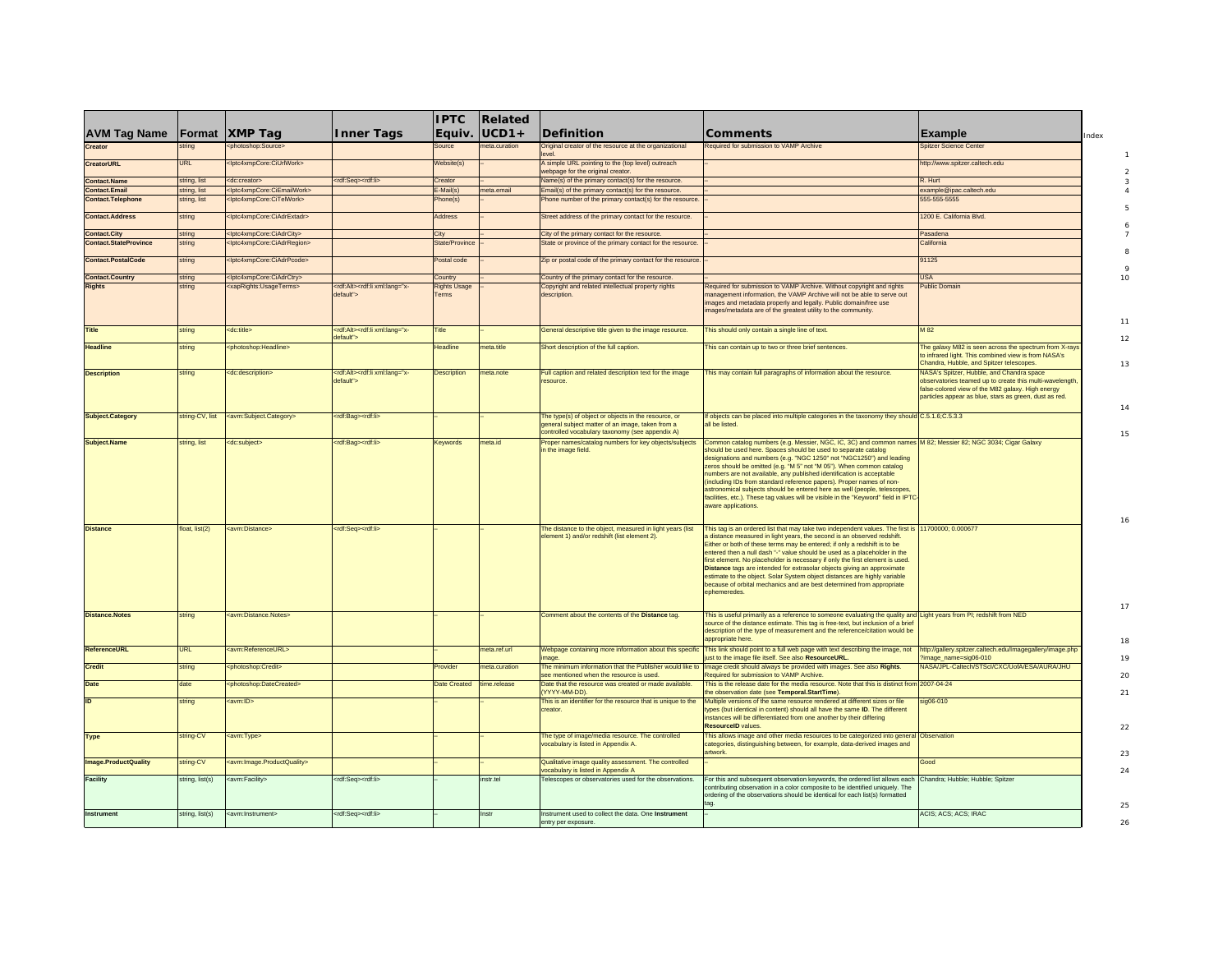|                              |                 |                                                       |                                                            | <b>IPTC</b>                  | Related       |                                                                                                                                                            |                                                                                                                                                                                                                                                                                                                                                                                                                                                                                                                                                                                                                                                                           |                                                                                                                                                                                                                             |
|------------------------------|-----------------|-------------------------------------------------------|------------------------------------------------------------|------------------------------|---------------|------------------------------------------------------------------------------------------------------------------------------------------------------------|---------------------------------------------------------------------------------------------------------------------------------------------------------------------------------------------------------------------------------------------------------------------------------------------------------------------------------------------------------------------------------------------------------------------------------------------------------------------------------------------------------------------------------------------------------------------------------------------------------------------------------------------------------------------------|-----------------------------------------------------------------------------------------------------------------------------------------------------------------------------------------------------------------------------|
| <b>AVM Tag Name</b>          | <b>Format</b>   | <b>XMP Tag</b>                                        | <b>Inner Tags</b>                                          | Equiv.                       | lUCD1+        | <b>Definition</b>                                                                                                                                          | <b>Comments</b>                                                                                                                                                                                                                                                                                                                                                                                                                                                                                                                                                                                                                                                           | <b>Example</b>                                                                                                                                                                                                              |
| Creator                      | string          | photoshop:Source>                                     |                                                            | Source                       | eta.curation  | Driginal creator of the resource at the organizational                                                                                                     | Required for submission to VAMP Archive                                                                                                                                                                                                                                                                                                                                                                                                                                                                                                                                                                                                                                   | <b>Spitzer Science Cente</b>                                                                                                                                                                                                |
| <b>CreatorURL</b>            | URI             | <lptc4xmpcore:ciurlwork></lptc4xmpcore:ciurlwork>     |                                                            | Vebsite(s)                   |               | A simple URL pointing to the (top level) outreach<br>rebpage for the original creator.                                                                     |                                                                                                                                                                                                                                                                                                                                                                                                                                                                                                                                                                                                                                                                           | http://www.spitzer.caltech.edu                                                                                                                                                                                              |
| <b>Contact.Name</b>          | string, list    | <dc:creator></dc:creator>                             | <rdf:seq><rdf:li></rdf:li></rdf:seq>                       | Creator                      |               | Vame(s) of the primary contact(s) for the resource                                                                                                         |                                                                                                                                                                                                                                                                                                                                                                                                                                                                                                                                                                                                                                                                           | R. Hurt                                                                                                                                                                                                                     |
| <b>Contact, Email</b>        | string, list    | <lptc4xmpcore:ciemailwork></lptc4xmpcore:ciemailwork> |                                                            | $-Mail(s)$                   | meta.email    | Email(s) of the primary contact(s) for the resource.                                                                                                       |                                                                                                                                                                                                                                                                                                                                                                                                                                                                                                                                                                                                                                                                           | example@ipac.caltech.edu                                                                                                                                                                                                    |
| <b>Contact.Telephone</b>     | string, list    | :Intc4xmnCore:CiTelWork>                              |                                                            | hone(s)                      |               | hone number of the primary contact(s) for the resource                                                                                                     |                                                                                                                                                                                                                                                                                                                                                                                                                                                                                                                                                                                                                                                                           | 555-555-5555                                                                                                                                                                                                                |
| <b>Contact.Address</b>       | string          | :Iptc4xmpCore:CiAdrExtadr>                            |                                                            | <b>Address</b>               |               | Street address of the primary contact for the resource.                                                                                                    |                                                                                                                                                                                                                                                                                                                                                                                                                                                                                                                                                                                                                                                                           | 1200 E. California Blvd.                                                                                                                                                                                                    |
| <b>Contact.City</b>          | string          | :Iptc4xmpCore:CiAdrCitv>                              |                                                            | City                         |               | City of the primary contact for the resource.                                                                                                              |                                                                                                                                                                                                                                                                                                                                                                                                                                                                                                                                                                                                                                                                           | Pasadena                                                                                                                                                                                                                    |
| <b>Contact.StateProvince</b> | string          | :Iptc4xmpCore:CiAdrRegion>                            |                                                            | date/Province                |               | State or province of the primary contact for the resource                                                                                                  |                                                                                                                                                                                                                                                                                                                                                                                                                                                                                                                                                                                                                                                                           | California                                                                                                                                                                                                                  |
| <b>Contact.PostalCode</b>    | string          | :Iptc4xmpCore:CiAdrPcode>                             |                                                            | Postal code                  |               | Zip or postal code of the primary contact for the resource                                                                                                 |                                                                                                                                                                                                                                                                                                                                                                                                                                                                                                                                                                                                                                                                           | <b>91125</b>                                                                                                                                                                                                                |
| <b>Contact.Country</b>       | string          | <lptc4xmpcore:ciadrctry></lptc4xmpcore:ciadrctry>     |                                                            | Country                      |               | Country of the primary contact for the resource.                                                                                                           |                                                                                                                                                                                                                                                                                                                                                                                                                                                                                                                                                                                                                                                                           | <b>JSA</b>                                                                                                                                                                                                                  |
| <b>Rights</b>                | string          | <xaprights:usageterms></xaprights:usageterms>         | -rdf:Alt> <rdf:li xml:lang="x&lt;br&gt;default"></rdf:li>  | <b>Rights Usage</b><br>Terms |               | Copyright and related intellectual property rights<br>description.                                                                                         | Required for submission to VAMP Archive. Without copyright and rights<br>nanagement information, the VAMP Archive will not be able to serve out<br>mages and metadata properly and legally. Public domain/free use<br>images/metadata are of the greatest utility to the community.                                                                                                                                                                                                                                                                                                                                                                                       | ublic Domain                                                                                                                                                                                                                |
| Title                        | string          | <dc:title></dc:title>                                 | -rdf:Alt> <rdf:li xml:lang="x&lt;br&gt;lefault"></rdf:li>  | ïtle                         |               | General descriptive title given to the image resource.                                                                                                     | This should only contain a single line of text.                                                                                                                                                                                                                                                                                                                                                                                                                                                                                                                                                                                                                           | M 82                                                                                                                                                                                                                        |
| <b>Headline</b>              | string          | <photoshop:headline></photoshop:headline>             |                                                            | leadline                     | eta.title     | Short description of the full caption.                                                                                                                     | This can contain up to two or three brief sentences.                                                                                                                                                                                                                                                                                                                                                                                                                                                                                                                                                                                                                      | The galaxy M82 is seen across the spectrum from X-rays<br>to infrared light. This combined view is from NASA's<br>Chandra, Hubble, and Spitzer telescopes.                                                                  |
| <b>Description</b>           | string          | <dc:description></dc:description>                     | -rdf:Alt> <rdf:li xml:lang="x-&lt;br&gt;lefault"></rdf:li> | <b>Description</b>           | neta.note     | ull caption and related description text for the image<br>esource.                                                                                         | This may contain full paragraphs of information about the resource.                                                                                                                                                                                                                                                                                                                                                                                                                                                                                                                                                                                                       | <b>JASA's Spitzer, Hubble, and Chandra space</b><br>observatories teamed up to create this multi-wavelength.<br>false-colored view of the M82 galaxy. High energy<br>particles appear as blue, stars as green, dust as red. |
| <b>Subject.Category</b>      | string-CV, list | <avm:subject.category></avm:subject.category>         | <rdf:bag><rdf:li></rdf:li></rdf:bag>                       |                              |               | he type(s) of object or objects in the resource, or<br>general subject matter of an image, taken from a<br>controlled vocabulary taxonomy (see appendix A) | If objects can be placed into multiple categories in the taxonomy they should C.5.1.6;C.5.3.3<br>all he listed                                                                                                                                                                                                                                                                                                                                                                                                                                                                                                                                                            |                                                                                                                                                                                                                             |
| <b>Subject.Name</b>          | string, list    | <dc:subiect></dc:subiect>                             | <rdf:bag><rdf:li></rdf:li></rdf:bag>                       | Keywords                     | meta.id       | Proper names/catalog numbers for key objects/subjects<br>n the image field.                                                                                | Common catalog numbers (e.g. Messier, NGC, IC, 3C) and common names M 82; Messier 82; NGC 3034; Cigar Galaxy<br>should be used here. Spaces should be used to separate catalog<br>designations and numbers (e.g. "NGC 1250" not "NGC1250") and leading<br>zeros should be omitted (e.g. "M 5" not "M 05"). When common catalog<br>numbers are not available, any published identification is acceptable<br>(including IDs from standard reference papers). Proper names of non-<br>astronomical subjects should be entered here as well (people, telescopes,<br>facilities, etc.). These tag values will be visible in the "Keyword" field in IPTC<br>aware applications. |                                                                                                                                                                                                                             |
| <b>Distance</b>              | float, list(2)  | <avm:distance></avm:distance>                         | <rdf:seq><rdf:li></rdf:li></rdf:seq>                       |                              |               | The distance to the object, measured in light years (list<br>element 1) and/or redshift (list element 2).                                                  | This tag is an ordered list that may take two independent values. The first is 11700000; 0.000677<br>a distance measured in light years, the second is an observed redshift.<br>Either or both of these terms may be entered; if only a redshift is to be<br>entered then a null dash "-" value should be used as a placeholder in the<br>first element. No placeholder is necessary if only the first element is used.<br>Distance tags are intended for extrasolar objects giving an approximate<br>estimate to the object. Solar System object distances are highly variable<br>because of orbital mechanics and are best determined from appropriate<br>ephemeredes   |                                                                                                                                                                                                                             |
| <b>Distance.Notes</b>        | string          | <avm:distance.notes></avm:distance.notes>             |                                                            |                              |               | Comment about the contents of the Distance tag.                                                                                                            | This is useful primarily as a reference to someone evaluating the quality and Light years from PI; redshift from NED<br>source of the distance estimate. This tag is free-text, but inclusion of a brief<br>description of the type of measurement and the reference/citation would be<br>appropriate here                                                                                                                                                                                                                                                                                                                                                                |                                                                                                                                                                                                                             |
| ReferenceURL                 | <b>URL</b>      | avm:ReferenceURL>                                     |                                                            |                              | heta.ref.url  | Vebpage containing more information about this specific<br>mage.                                                                                           | This link should point to a full web page with text describing the image, not<br>just to the image file itself. See also ResourceURL.                                                                                                                                                                                                                                                                                                                                                                                                                                                                                                                                     | http://gallery.spitzer.caltech.edu/Imagegallery/image.php<br>image_name=sig06-010                                                                                                                                           |
| Credit                       | string          | photoshop:Credit>                                     |                                                            | rovider                      | neta.curation | The minimum information that the Publisher would like to<br>see mentioned when the resource is used.                                                       | Image credit should always be provided with images. See also Rights.<br>Required for submission to VAMP Archive.                                                                                                                                                                                                                                                                                                                                                                                                                                                                                                                                                          | NASA/JPL-Caltech/STScl/CXC/UofA/ESA/AURA/JHU                                                                                                                                                                                |
| Date                         | late            | <photoshop:datecreated></photoshop:datecreated>       |                                                            | Date Created                 | time.release  | late that the resource was created or made available.<br>YYYY-MM-DDI                                                                                       | This is the release date for the media resource. Note that this is distinct from<br>ne observation date (see Temporal.StartTime)                                                                                                                                                                                                                                                                                                                                                                                                                                                                                                                                          | 2007-04-24                                                                                                                                                                                                                  |
| חו                           | string          | <avm:id></avm:id>                                     |                                                            |                              |               | This is an identifier for the resource that is unique to the                                                                                               | Multiple versions of the same resource rendered at different sizes or file                                                                                                                                                                                                                                                                                                                                                                                                                                                                                                                                                                                                | $sin06 - 010$                                                                                                                                                                                                               |
|                              |                 |                                                       |                                                            |                              |               | creator.                                                                                                                                                   | types (but identical in content) should all have the same ID. The different<br>nstances will be differentiated from one another by their differing<br>ResourceID values                                                                                                                                                                                                                                                                                                                                                                                                                                                                                                   |                                                                                                                                                                                                                             |
| <b>Type</b>                  | string-CV       | avm:Type>                                             |                                                            |                              |               | he type of image/media resource. The controlled<br>vocabulary is listed in Appendix A.                                                                     | This allows image and other media resources to be categorized into general<br>categories, distinguishing between, for example, data-derived images and<br>artwork.                                                                                                                                                                                                                                                                                                                                                                                                                                                                                                        | Observation                                                                                                                                                                                                                 |
| Image.ProductQuality         | string-CV       | <avm:image.productquality></avm:image.productquality> |                                                            |                              |               | Qualitative image quality assessment. The controlled<br>ocabulary is listed in Appendix A                                                                  |                                                                                                                                                                                                                                                                                                                                                                                                                                                                                                                                                                                                                                                                           | <b>Good</b>                                                                                                                                                                                                                 |
| <b>Facility</b>              | string, list(s) | avm:Facility>                                         | <rdf:seq><rdf:li></rdf:li></rdf:seq>                       |                              | nstr.tel      | elescopes or observatories used for the observations.                                                                                                      | For this and subsequent observation keywords, the ordered list allows each Chandra; Hubble; Hubble; Spitzer<br>contributing observation in a color composite to be identified uniquely. The<br>ordering of the observations should be identical for each list(s) formatted                                                                                                                                                                                                                                                                                                                                                                                                |                                                                                                                                                                                                                             |
| Instrument                   | string, list(s) | <avm:instrument></avm:instrument>                     | <rdf:seq><rdf:li></rdf:li></rdf:seq>                       |                              | nstr          | Instrument used to collect the data. One Instrument<br>antry per exposure                                                                                  |                                                                                                                                                                                                                                                                                                                                                                                                                                                                                                                                                                                                                                                                           | <b>ACIS: ACS: ACS: IRAC</b>                                                                                                                                                                                                 |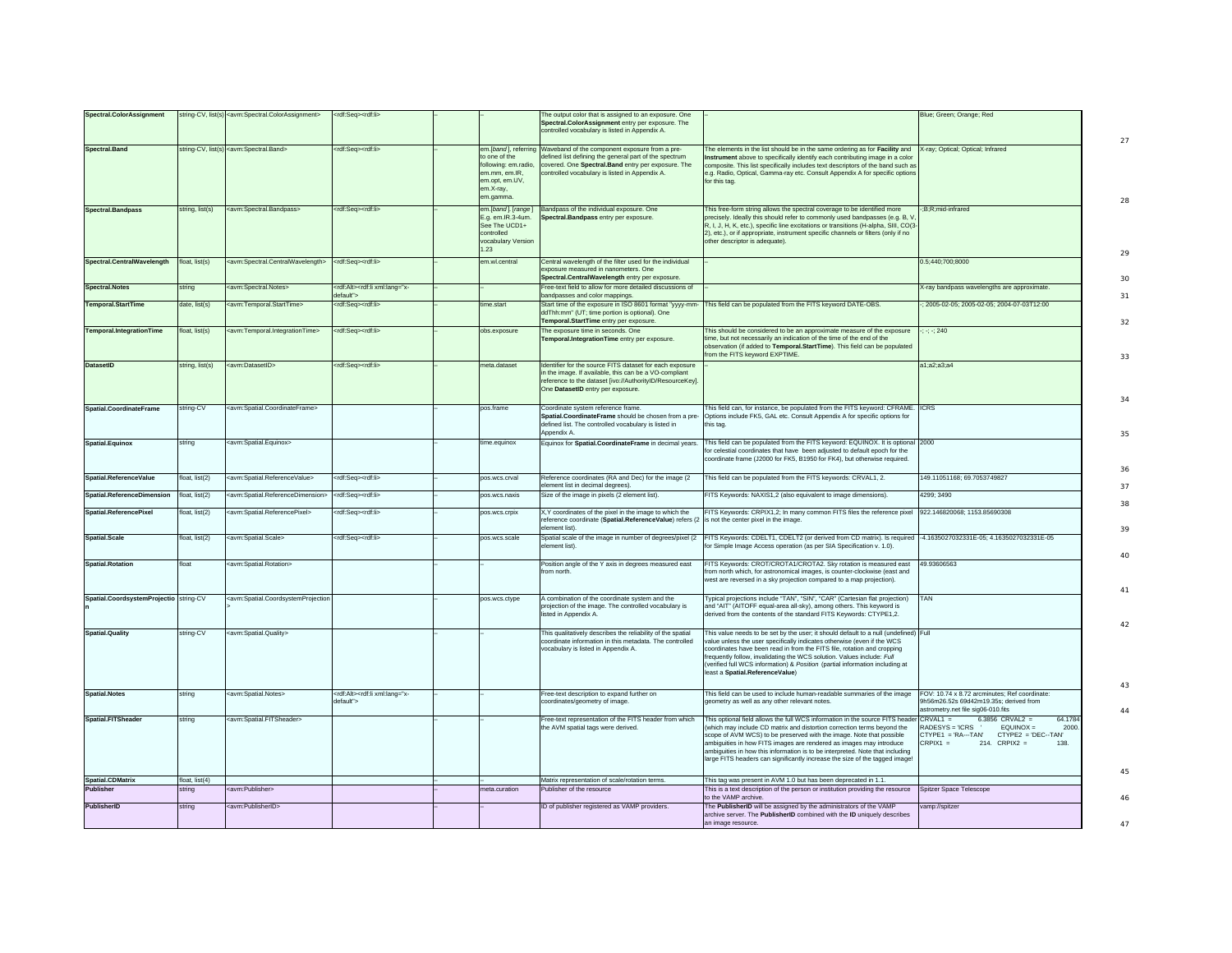| <b>Spectral.ColorAssignment</b>             |                          | string-CV, list(s) <avm:spectral.colorassignment></avm:spectral.colorassignment>                                                                                                                                                                                                                                                                                                                                                                                                                         | <rdf:seg><rdf:li></rdf:li></rdf:seg>                                |                                                                                                                          | The output color that is assigned to an exposure. One                                                                                                                                                                |                                                                                                                                                                                                                                                                                                                                                                                                                                                                       | Blue; Green; Orange; Red                                                                                                                                                   |
|---------------------------------------------|--------------------------|----------------------------------------------------------------------------------------------------------------------------------------------------------------------------------------------------------------------------------------------------------------------------------------------------------------------------------------------------------------------------------------------------------------------------------------------------------------------------------------------------------|---------------------------------------------------------------------|--------------------------------------------------------------------------------------------------------------------------|----------------------------------------------------------------------------------------------------------------------------------------------------------------------------------------------------------------------|-----------------------------------------------------------------------------------------------------------------------------------------------------------------------------------------------------------------------------------------------------------------------------------------------------------------------------------------------------------------------------------------------------------------------------------------------------------------------|----------------------------------------------------------------------------------------------------------------------------------------------------------------------------|
|                                             |                          |                                                                                                                                                                                                                                                                                                                                                                                                                                                                                                          |                                                                     |                                                                                                                          | Spectral.ColorAssignment entry per exposure. The<br>controlled vocabulary is listed in Appendix A.                                                                                                                   |                                                                                                                                                                                                                                                                                                                                                                                                                                                                       |                                                                                                                                                                            |
| Spectral.Band                               |                          | string-CV, list(s) <avm:spectral.band></avm:spectral.band>                                                                                                                                                                                                                                                                                                                                                                                                                                               | <rdf:seq><rdf:li></rdf:li></rdf:seq>                                | em.[band], referring<br>to one of the<br>following: em.radio<br>em.mm. em.IR.<br>em.opt, em.UV,<br>em.X-ray,<br>em.gamma | Waveband of the component exposure from a pre-<br>lefined list defining the general part of the spectrum<br>covered. One Spectral. Band entry per exposure. The<br>controlled vocabulary is listed in Appendix A.    | he elements in the list should be in the same ordering as for Facility and<br>istrument above to specifically identify each contributing image in a color<br>omposite. This list specifically includes text descriptors of the band such as<br>.g. Radio, Optical, Gamma-ray etc. Consult Appendix A for specific options<br>or this tag.                                                                                                                             | X-ray; Optical; Optical; Infrared                                                                                                                                          |
| <b>Spectral.Bandpass</b>                    | string, list(s)          | <avm:spectral.bandpass></avm:spectral.bandpass>                                                                                                                                                                                                                                                                                                                                                                                                                                                          | <rdf:seq><rdf:li></rdf:li></rdf:seq>                                | em.[band]. [range]<br>E.g. em.IR.3-4um.<br>See The UCD1+<br>controlled<br>vocabulary Version<br>1.23                     | Bandpass of the individual exposure. One<br>Spectral.Bandpass entry per exposure.                                                                                                                                    | This free-form string allows the spectral coverage to be identified more<br>recisely. Ideally this should refer to commonly used bandpasses (e.g. B, \<br>R, I, J, H, K, etc.), specific line excitations or transitions (H-alpha, SIII, CO(3-<br>2), etc.), or if appropriate, instrument specific channels or filters (only if no<br>ther descriptor is adequate).                                                                                                  | :B;R;mid-infrared                                                                                                                                                          |
| Spectral.CentralWavelength                  | float. list(s)           | <avm:spectral.centralwavelength></avm:spectral.centralwavelength>                                                                                                                                                                                                                                                                                                                                                                                                                                        | <rdf:sea><rdf:li></rdf:li></rdf:sea>                                | em wl.central                                                                                                            | Central wavelength of the filter used for the individual<br>xposure measured in nanometers. One<br>Spectral.CentralWavelength entry per exposure.                                                                    |                                                                                                                                                                                                                                                                                                                                                                                                                                                                       | 0.5:440:700:8000                                                                                                                                                           |
| <b>Spectral.Notes</b>                       | string                   | <avm:spectral.notes></avm:spectral.notes>                                                                                                                                                                                                                                                                                                                                                                                                                                                                | <rdf:alt><rdf:li xml:lang="x-&lt;br&gt;default"></rdf:li></rdf:alt> |                                                                                                                          | ree-text field to allow for more detailed discussions of<br>bandpasses and color mappings.                                                                                                                           |                                                                                                                                                                                                                                                                                                                                                                                                                                                                       | <- ray bandpass wavelengths are approximate.                                                                                                                               |
| <b>Temporal.StartTime</b>                   | date, list(s)            | <avm:temporal.starttime></avm:temporal.starttime>                                                                                                                                                                                                                                                                                                                                                                                                                                                        | <rdf:seq><rdf:li></rdf:li></rdf:seq>                                | ime.start                                                                                                                | Start time of the exposure in ISO 8601 format "yyyy-mm-<br>ddThh:mm" (UT; time portion is optional). One<br>Temporal.StartTime entry per exposure.                                                                   | his field can be populated from the FITS keyword DATE-OBS.                                                                                                                                                                                                                                                                                                                                                                                                            | 2005-02-05; 2005-02-05; 2004-07-03T12:00                                                                                                                                   |
| <b>Temporal.IntegrationTime</b>             | float, list(s)           | <avm:temporal.integrationtime></avm:temporal.integrationtime>                                                                                                                                                                                                                                                                                                                                                                                                                                            | <rdf:seq><rdf:li></rdf:li></rdf:seq>                                | obs.exposure                                                                                                             | The exposure time in seconds. One<br>Temporal.IntegrationTime entry per exposure.                                                                                                                                    | This should be considered to be an approximate measure of the exposure<br>me, but not necessarily an indication of the time of the end of the<br>bservation (if added to Temporal.StartTime). This field can be populated<br>om the FITS keyword EXPTIME.                                                                                                                                                                                                             | $: -240$                                                                                                                                                                   |
| <b>DatasetID</b>                            | string, list(s)          | <avm:datasetid></avm:datasetid>                                                                                                                                                                                                                                                                                                                                                                                                                                                                          | <rdf:seq><rdf:li></rdf:li></rdf:seq>                                | meta.dataset                                                                                                             | Identifier for the source FITS dataset for each exposure<br>in the image. If available, this can be a VO-compliant<br>reference to the dataset [ivo://AuthorityID/ResourceKey].<br>One DatasetID entry per exposure. |                                                                                                                                                                                                                                                                                                                                                                                                                                                                       | a1:a2:a3:a4                                                                                                                                                                |
| Spatial.CoordinateFrame                     | string-CV                | <avm:spatial.coordinateframe></avm:spatial.coordinateframe>                                                                                                                                                                                                                                                                                                                                                                                                                                              |                                                                     | pos.frame                                                                                                                | Coordinate system reference frame.<br>Spatial.CoordinateFrame should be chosen from a pre-<br>defined list. The controlled vocabulary is listed in<br>Appendix A                                                     | This field can, for instance, be populated from the FITS keyword: CFRAME.<br>Options include FK5, GAL etc. Consult Appendix A for specific options for<br>is tag.                                                                                                                                                                                                                                                                                                     | <b>ICRS</b>                                                                                                                                                                |
| Spatial.Equinox                             | string                   | <avm:spatial.equinox></avm:spatial.equinox>                                                                                                                                                                                                                                                                                                                                                                                                                                                              |                                                                     | time.equinox                                                                                                             |                                                                                                                                                                                                                      | Equinox for Spatial.CoordinateFrame in decimal years. This field can be populated from the FITS keyword: EQUINOX. It is optional<br>or celestial coordinates that have been adjusted to default epoch for the<br>coordinate frame (J2000 for FK5, B1950 for FK4), but otherwise required.                                                                                                                                                                             | 2000                                                                                                                                                                       |
| Spatial.ReferenceValue                      | float, list(2)           | <avm:spatial.referencevalue></avm:spatial.referencevalue>                                                                                                                                                                                                                                                                                                                                                                                                                                                | <rdf:seq><rdf:li></rdf:li></rdf:seq>                                | pos.wcs.crval                                                                                                            | Reference coordinates (RA and Dec) for the image (2<br>lement list in decimal degrees).                                                                                                                              | This field can be populated from the FITS keywords: CRVAL1, 2.                                                                                                                                                                                                                                                                                                                                                                                                        | 49.11051168; 69.7053749827                                                                                                                                                 |
| <b>Spatial.ReferenceDimension</b>           | float, list(2)           | <avm:spatial.referencedimension></avm:spatial.referencedimension>                                                                                                                                                                                                                                                                                                                                                                                                                                        | <rdf:seq><rdf:li></rdf:li></rdf:seq>                                | pos.wcs.naxis                                                                                                            | Size of the image in pixels (2 element list).                                                                                                                                                                        | FITS Keywords: NAXIS1,2 (also equivalent to image dimensions).                                                                                                                                                                                                                                                                                                                                                                                                        | 4299: 3490                                                                                                                                                                 |
| Spatial.ReferencePixel                      | float, list(2)           | <avm:spatial.referencepixel></avm:spatial.referencepixel>                                                                                                                                                                                                                                                                                                                                                                                                                                                | <rdf:seq><rdf:li></rdf:li></rdf:seq>                                | pos.wcs.crpix                                                                                                            | X,Y coordinates of the pixel in the image to which the<br>reference coordinate (Spatial.ReferenceValue) refers (2<br>lement list)                                                                                    | FITS Keywords: CRPIX1,2; In many common FITS files the reference pixel<br>s not the center pixel in the image.                                                                                                                                                                                                                                                                                                                                                        | 922.146820068; 1153.85690308                                                                                                                                               |
| <b>Spatial.Scale</b>                        | float, list(2)           | <avm:spatial.scale></avm:spatial.scale>                                                                                                                                                                                                                                                                                                                                                                                                                                                                  | <rdf:seq><rdf:li></rdf:li></rdf:seq>                                | pos.wcs.scale                                                                                                            | Spatial scale of the image in number of degrees/pixel (2<br>element list)                                                                                                                                            | FITS Keywords: CDELT1, CDELT2 (or derived from CD matrix). Is required<br>or Simple Image Access operation (as per SIA Specification v. 1.0).                                                                                                                                                                                                                                                                                                                         | -4.1635027032331E-05; 4.1635027032331E-05                                                                                                                                  |
| <b>Spatial.Rotation</b>                     | float                    | <avm:spatial.rotation></avm:spatial.rotation>                                                                                                                                                                                                                                                                                                                                                                                                                                                            |                                                                     |                                                                                                                          | Position angle of the Y axis in degrees measured east<br>from north.                                                                                                                                                 | FITS Keywords: CROT/CROTA1/CROTA2. Sky rotation is measured east<br>om north which, for astronomical images, is counter-clockwise (east and<br>west are reversed in a sky projection compared to a map projection).                                                                                                                                                                                                                                                   | 49.93606563                                                                                                                                                                |
| Spatial.CoordsystemProjectio string-CV      |                          | <avm:spatial.coordsystemprojection< td=""><td></td><td>pos.wcs.ctype</td><td>A combination of the coordinate system and the<br/>projection of the image. The controlled vocabulary is<br/>listed in Appendix A.</td><td>ypical projections include "TAN", "SIN", "CAR" (Cartesian flat projection)<br/>and "AIT" (AITOFF equal-area all-sky), among others. This keyword is<br/>derived from the contents of the standard FITS Keywords: CTYPE1,2.</td><td>TAN</td></avm:spatial.coordsystemprojection<> |                                                                     | pos.wcs.ctype                                                                                                            | A combination of the coordinate system and the<br>projection of the image. The controlled vocabulary is<br>listed in Appendix A.                                                                                     | ypical projections include "TAN", "SIN", "CAR" (Cartesian flat projection)<br>and "AIT" (AITOFF equal-area all-sky), among others. This keyword is<br>derived from the contents of the standard FITS Keywords: CTYPE1,2.                                                                                                                                                                                                                                              | TAN                                                                                                                                                                        |
| <b>Spatial.Quality</b>                      | string-CV                | <avm:spatial.quality></avm:spatial.quality>                                                                                                                                                                                                                                                                                                                                                                                                                                                              |                                                                     |                                                                                                                          | This qualitatively describes the reliability of the spatial<br>coordinate information in this metadata. The controlled<br>vocabulary is listed in Appendix A.                                                        | his value needs to be set by the user: it should default to a null (undefined)<br>ralue unless the user specifically indicates otherwise (even if the WCS<br>coordinates have been read in from the FITS file, rotation and cropping<br>requently follow, invalidating the WCS solution. Values include: Full<br>verified full WCS information) & Position (partial information including at<br>least a Spatial.ReferenceValue)                                       | Full                                                                                                                                                                       |
| <b>Spatial.Notes</b>                        | string                   | <avm:spatial.notes></avm:spatial.notes>                                                                                                                                                                                                                                                                                                                                                                                                                                                                  | <rdf:alt><rdf:li xml:lang="x-&lt;br&gt;default"></rdf:li></rdf:alt> |                                                                                                                          | Free-text description to expand further on<br>coordinates/geometry of image.                                                                                                                                         | This field can be used to include human-readable summaries of the image<br>geometry as well as any other relevant notes.                                                                                                                                                                                                                                                                                                                                              | FOV: 10.74 x 8.72 arcminutes: Ref coordinate:<br>9h56m26.52s 69d42m19.35s: derived from<br>strometry.net file sig06-010.fits                                               |
| <b>Spatial.FITSheader</b>                   | string                   | <avm:spatial.fitsheader></avm:spatial.fitsheader>                                                                                                                                                                                                                                                                                                                                                                                                                                                        |                                                                     |                                                                                                                          | ree-text representation of the FITS header from which<br>the AVM spatial tags were derived.                                                                                                                          | This optional field allows the full WCS information in the source FITS header<br>which may include CD matrix and distortion correction terms beyond the<br>cope of AVM WCS) to be preserved with the image. Note that possible<br>imbiguities in how FITS images are rendered as images may introduce<br>ambiguities in how this information is to be interpreted. Note that including<br>large FITS headers can significantly increase the size of the tagged image! | $6.3856$ CRVAL2 =<br>$CRVAL1 =$<br>64.1784<br>RADESYS = 'ICRS '<br>$FOLIINOX =$<br>2000<br>CTYPE1 = 'RA---TAN' CTYPE2 = 'DEC--TAN'<br>214. $CRPIX2 =$<br>$RPIX1 =$<br>138. |
| <b>Spatial.CDMatrix</b><br><b>Publisher</b> | float, list(4)<br>string | <avm:publisher></avm:publisher>                                                                                                                                                                                                                                                                                                                                                                                                                                                                          |                                                                     | meta.curation                                                                                                            | Matrix representation of scale/rotation terms.<br>Publisher of the resource                                                                                                                                          | This tag was present in AVM 1.0 but has been deprecated in 1.1.<br>This is a text description of the person or institution providing the resource                                                                                                                                                                                                                                                                                                                     | Spitzer Space Telescope                                                                                                                                                    |
| PublisherID                                 | strina                   | avm:PublisherID>                                                                                                                                                                                                                                                                                                                                                                                                                                                                                         |                                                                     |                                                                                                                          | ID of publisher registered as VAMP providers.                                                                                                                                                                        | the VAMP archive<br>he PublisherID will be assigned by the administrators of the VAMF                                                                                                                                                                                                                                                                                                                                                                                 | amp://spitzer                                                                                                                                                              |
|                                             |                          |                                                                                                                                                                                                                                                                                                                                                                                                                                                                                                          |                                                                     |                                                                                                                          |                                                                                                                                                                                                                      | archive server. The PublisherID combined with the ID uniquely describes<br>an image resource                                                                                                                                                                                                                                                                                                                                                                          |                                                                                                                                                                            |